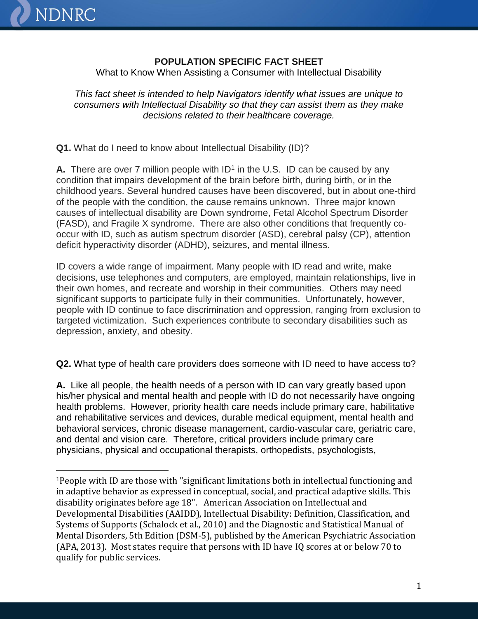

 $\overline{a}$ 

## **POPULATION SPECIFIC FACT SHEET**

What to Know When Assisting a Consumer with Intellectual Disability

*This fact sheet is intended to help Navigators identify what issues are unique to consumers with Intellectual Disability so that they can assist them as they make decisions related to their healthcare coverage.*

**Q1.** What do I need to know about Intellectual Disability (ID)?

A. There are over 7 million people with ID<sup>1</sup> in the U.S. ID can be caused by any condition that impairs development of the brain before birth, during birth, or in the childhood years. Several hundred causes have been discovered, but in about one-third of the people with the condition, the cause remains unknown. Three major known causes of intellectual disability are Down syndrome, Fetal Alcohol Spectrum Disorder (FASD), and Fragile X syndrome. There are also other conditions that frequently cooccur with ID, such as autism spectrum disorder (ASD), cerebral palsy (CP), attention deficit hyperactivity disorder (ADHD), seizures, and mental illness.

ID covers a wide range of impairment. Many people with ID read and write, make decisions, use telephones and computers, are employed, maintain relationships, live in their own homes, and recreate and worship in their communities. Others may need significant supports to participate fully in their communities. Unfortunately, however, people with ID continue to face discrimination and oppression, ranging from exclusion to targeted victimization. Such experiences contribute to secondary disabilities such as depression, anxiety, and obesity.

**Q2.** What type of health care providers does someone with ID need to have access to?

**A.** Like all people, the health needs of a person with ID can vary greatly based upon his/her physical and mental health and people with ID do not necessarily have ongoing health problems. However, priority health care needs include primary care, habilitative and rehabilitative services and devices, durable medical equipment, mental health and behavioral services, chronic disease management, cardio-vascular care, geriatric care, and dental and vision care. Therefore, critical providers include primary care physicians, physical and occupational therapists, orthopedists, psychologists,

<sup>1</sup>People with ID are those with "significant limitations both in intellectual functioning and in adaptive behavior as expressed in conceptual, social, and practical adaptive skills. This disability originates before age 18". American Association on Intellectual and Developmental Disabilities (AAIDD), Intellectual Disability: Definition, Classification, and Systems of Supports (Schalock et al., 2010) and the Diagnostic and Statistical Manual of Mental Disorders, 5th Edition (DSM-5), published by the American Psychiatric Association (APA, 2013). Most states require that persons with ID have IQ scores at or below 70 to qualify for public services.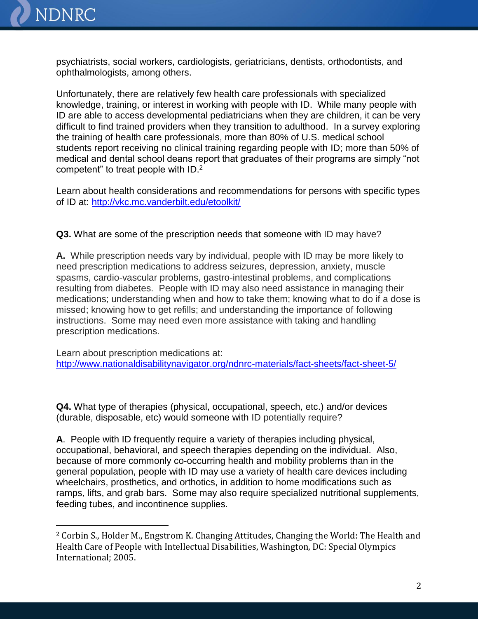

 $\overline{a}$ 

psychiatrists, social workers, cardiologists, geriatricians, dentists, orthodontists, and ophthalmologists, among others.

Unfortunately, there are relatively few health care professionals with specialized knowledge, training, or interest in working with people with ID. While many people with ID are able to access developmental pediatricians when they are children, it can be very difficult to find trained providers when they transition to adulthood. In a survey exploring the training of health care professionals, more than 80% of U.S. medical school students report receiving no clinical training regarding people with ID; more than 50% of medical and dental school deans report that graduates of their programs are simply "not competent" to treat people with ID.<sup>2</sup>

Learn about health considerations and recommendations for persons with specific types of ID at: <http://vkc.mc.vanderbilt.edu/etoolkit/>

**Q3.** What are some of the prescription needs that someone with ID may have?

**A.** While prescription needs vary by individual, people with ID may be more likely to need prescription medications to address seizures, depression, anxiety, muscle spasms, cardio-vascular problems, gastro-intestinal problems, and complications resulting from diabetes. People with ID may also need assistance in managing their medications; understanding when and how to take them; knowing what to do if a dose is missed; knowing how to get refills; and understanding the importance of following instructions. Some may need even more assistance with taking and handling prescription medications.

Learn about prescription medications at: <http://www.nationaldisabilitynavigator.org/ndnrc-materials/fact-sheets/fact-sheet-5/>

**Q4.** What type of therapies (physical, occupational, speech, etc.) and/or devices (durable, disposable, etc) would someone with ID potentially require?

**A**. People with ID frequently require a variety of therapies including physical, occupational, behavioral, and speech therapies depending on the individual. Also, because of more commonly co-occurring health and mobility problems than in the general population, people with ID may use a variety of health care devices including wheelchairs, prosthetics, and orthotics, in addition to home modifications such as ramps, lifts, and grab bars. Some may also require specialized nutritional supplements, feeding tubes, and incontinence supplies.

<sup>2</sup> Corbin S., Holder M., Engstrom K. Changing Attitudes, Changing the World: The Health and Health Care of People with Intellectual Disabilities, Washington, DC: Special Olympics International; 2005.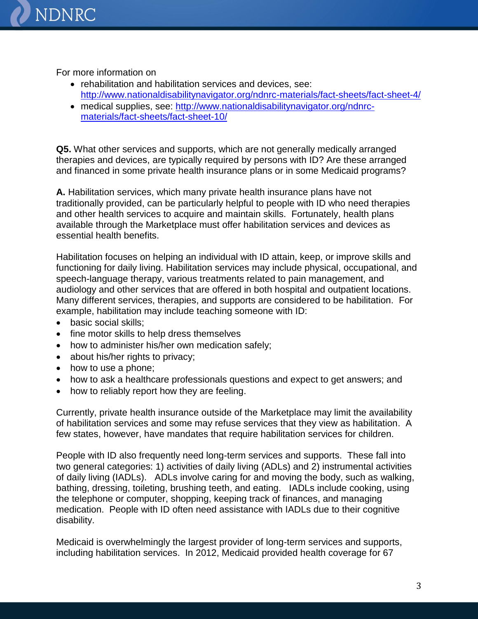

For more information on

- rehabilitation and habilitation services and devices, see: <http://www.nationaldisabilitynavigator.org/ndnrc-materials/fact-sheets/fact-sheet-4/>
- medical supplies, see: [http://www.nationaldisabilitynavigator.org/ndnrc](http://www.nationaldisabilitynavigator.org/ndnrc-materials/fact-sheets/fact-sheet-10/)[materials/fact-sheets/fact-sheet-10/](http://www.nationaldisabilitynavigator.org/ndnrc-materials/fact-sheets/fact-sheet-10/)

**Q5.** What other services and supports, which are not generally medically arranged therapies and devices, are typically required by persons with ID? Are these arranged and financed in some private health insurance plans or in some Medicaid programs?

**A.** Habilitation services, which many private health insurance plans have not traditionally provided, can be particularly helpful to people with ID who need therapies and other health services to acquire and maintain skills. Fortunately, health plans available through the Marketplace must offer habilitation services and devices as essential health benefits.

Habilitation focuses on helping an individual with ID attain, keep, or improve skills and functioning for daily living. Habilitation services may include physical, occupational, and speech-language therapy, various treatments related to pain management, and audiology and other services that are offered in both hospital and outpatient locations. Many different services, therapies, and supports are considered to be habilitation. For example, habilitation may include teaching someone with ID:

- basic social skills;
- fine motor skills to help dress themselves
- how to administer his/her own medication safely;
- about his/her rights to privacy;
- how to use a phone;
- how to ask a healthcare professionals questions and expect to get answers; and
- how to reliably report how they are feeling.

Currently, private health insurance outside of the Marketplace may limit the availability of habilitation services and some may refuse services that they view as habilitation. A few states, however, have mandates that require habilitation services for children.

People with ID also frequently need long-term services and supports. These fall into two general categories: 1) activities of daily living (ADLs) and 2) instrumental activities of daily living (IADLs). ADLs involve caring for and moving the body, such as walking, bathing, dressing, toileting, brushing teeth, and eating. IADLs include cooking, using the telephone or computer, shopping, keeping track of finances, and managing medication. People with ID often need assistance with IADLs due to their cognitive disability.

Medicaid is overwhelmingly the largest provider of long-term services and supports, including habilitation services. In 2012, Medicaid provided health coverage for 67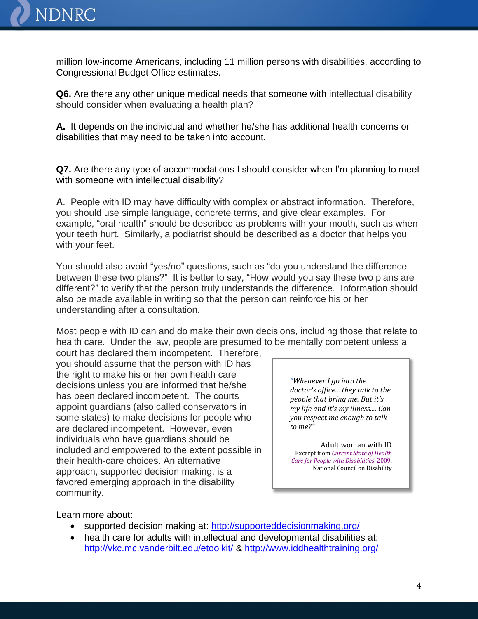

million low-income Americans, including 11 million persons with disabilities, according to Congressional Budget Office estimates.

**Q6.** Are there any other unique medical needs that someone with intellectual disability should consider when evaluating a health plan?

**A.** It depends on the individual and whether he/she has additional health concerns or disabilities that may need to be taken into account.

**Q7.** Are there any type of accommodations I should consider when I'm planning to meet with someone with intellectual disability?

**A**. People with ID may have difficulty with complex or abstract information. Therefore, you should use simple language, concrete terms, and give clear examples. For example, "oral health" should be described as problems with your mouth, such as when your teeth hurt. Similarly, a podiatrist should be described as a doctor that helps you with your feet.

You should also avoid "yes/no" questions, such as "do you understand the difference between these two plans?" It is better to say, "How would you say these two plans are different?" to verify that the person truly understands the difference. Information should also be made available in writing so that the person can reinforce his or her understanding after a consultation.

Most people with ID can and do make their own decisions, including those that relate to health care. Under the law, people are presumed to be mentally competent unless a

court has declared them incompetent. Therefore, you should assume that the person with ID has the right to make his or her own health care decisions unless you are informed that he/she has been declared incompetent. The courts appoint guardians (also called conservators in some states) to make decisions for people who are declared incompetent. However, even individuals who have guardians should be included and empowered to the extent possible in their health-care choices. An alternative approach, supported decision making, is a favored emerging approach in the disability community.

*"Whenever I go into the doctor's office... they talk to the people that bring me. But it's my life and it's my illness.... Can you respect me enough to talk to me?"*

Adult woman with ID Excerpt from *[Current State of Health](http://www.ncd.gov/publications/2009/Sept302009#Health Status)  [Care for People with Disabilities](http://www.ncd.gov/publications/2009/Sept302009#Health Status)*, 2009. National Council on Disability

Learn more about:

- supported decision making at: <http://supporteddecisionmaking.org/>
- health care for adults with intellectual and developmental disabilities at: <http://vkc.mc.vanderbilt.edu/etoolkit/> &<http://www.iddhealthtraining.org/>